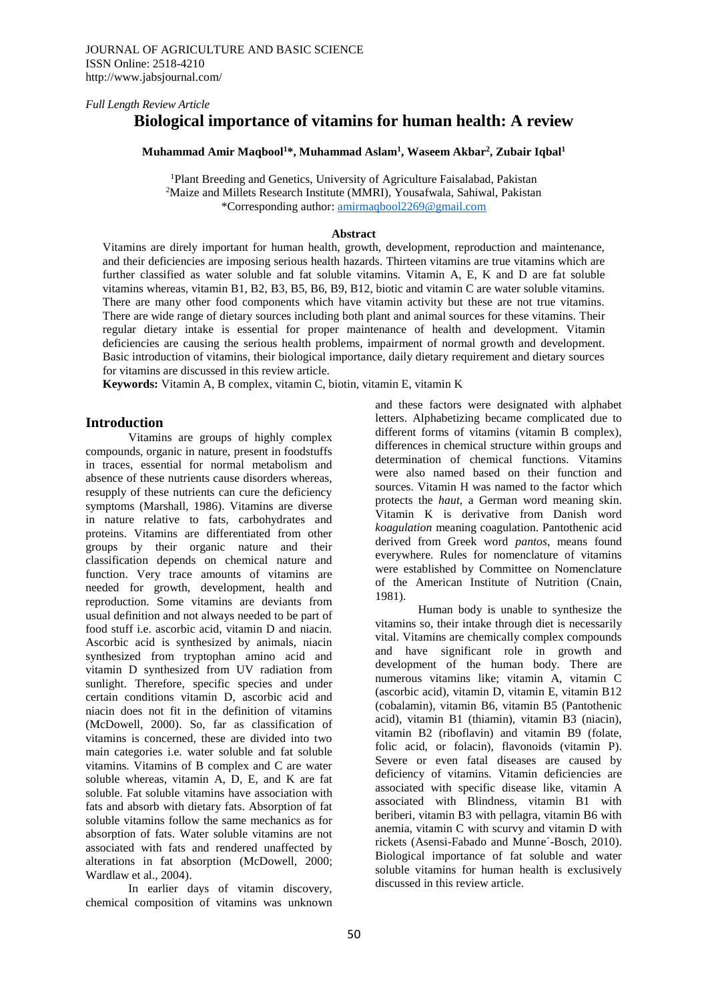*Full Length Review Article*

# **Biological importance of vitamins for human health: A review**

#### **Muhammad Amir Maqbool<sup>1</sup>\*, Muhammad Aslam<sup>1</sup> , Waseem Akbar<sup>2</sup> , Zubair Iqbal<sup>1</sup>**

<sup>1</sup>Plant Breeding and Genetics, University of Agriculture Faisalabad, Pakistan <sup>2</sup>Maize and Millets Research Institute (MMRI), Yousafwala, Sahiwal, Pakistan \*Corresponding author: [amirmaqbool2269@gmail.com](mailto:amirmaqbool2269@gmail.com)

#### **Abstract**

Vitamins are direly important for human health, growth, development, reproduction and maintenance, and their deficiencies are imposing serious health hazards. Thirteen vitamins are true vitamins which are further classified as water soluble and fat soluble vitamins. Vitamin A, E, K and D are fat soluble vitamins whereas, vitamin B1, B2, B3, B5, B6, B9, B12, biotic and vitamin C are water soluble vitamins. There are many other food components which have vitamin activity but these are not true vitamins. There are wide range of dietary sources including both plant and animal sources for these vitamins. Their regular dietary intake is essential for proper maintenance of health and development. Vitamin deficiencies are causing the serious health problems, impairment of normal growth and development. Basic introduction of vitamins, their biological importance, daily dietary requirement and dietary sources for vitamins are discussed in this review article.

**Keywords:** Vitamin A, B complex, vitamin C, biotin, vitamin E, vitamin K

#### **Introduction**

Vitamins are groups of highly complex compounds, organic in nature, present in foodstuffs in traces, essential for normal metabolism and absence of these nutrients cause disorders whereas, resupply of these nutrients can cure the deficiency symptoms (Marshall, 1986). Vitamins are diverse in nature relative to fats, carbohydrates and proteins. Vitamins are differentiated from other groups by their organic nature and their classification depends on chemical nature and function. Very trace amounts of vitamins are needed for growth, development, health and reproduction. Some vitamins are deviants from usual definition and not always needed to be part of food stuff i.e. ascorbic acid, vitamin D and niacin. Ascorbic acid is synthesized by animals, niacin synthesized from tryptophan amino acid and vitamin D synthesized from UV radiation from sunlight. Therefore, specific species and under certain conditions vitamin D, ascorbic acid and niacin does not fit in the definition of vitamins (McDowell, 2000). So, far as classification of vitamins is concerned, these are divided into two main categories i.e. water soluble and fat soluble vitamins. Vitamins of B complex and C are water soluble whereas, vitamin A, D, E, and K are fat soluble. Fat soluble vitamins have association with fats and absorb with dietary fats. Absorption of fat soluble vitamins follow the same mechanics as for absorption of fats. Water soluble vitamins are not associated with fats and rendered unaffected by alterations in fat absorption (McDowell, 2000; Wardlaw et al., 2004).

In earlier days of vitamin discovery, chemical composition of vitamins was unknown

and these factors were designated with alphabet letters. Alphabetizing became complicated due to different forms of vitamins (vitamin B complex), differences in chemical structure within groups and determination of chemical functions. Vitamins were also named based on their function and sources. Vitamin H was named to the factor which protects the *haut*, a German word meaning skin. Vitamin K is derivative from Danish word *koagulation* meaning coagulation. Pantothenic acid derived from Greek word *pantos*, means found everywhere. Rules for nomenclature of vitamins were established by Committee on Nomenclature of the American Institute of Nutrition (Cnain, 1981).

Human body is unable to synthesize the vitamins so, their intake through diet is necessarily vital. Vitamins are chemically complex compounds and have significant role in growth and development of the human body. There are numerous vitamins like; vitamin A, vitamin C (ascorbic acid), vitamin D, vitamin E, vitamin B12 (cobalamin), vitamin B6, vitamin B5 (Pantothenic acid), vitamin B1 (thiamin), vitamin B3 (niacin), vitamin B2 (riboflavin) and vitamin B9 (folate, folic acid, or folacin), flavonoids (vitamin P). Severe or even fatal diseases are caused by deficiency of vitamins. Vitamin deficiencies are associated with specific disease like, vitamin A associated with Blindness, vitamin B1 with beriberi, vitamin B3 with pellagra, vitamin B6 with anemia, vitamin C with scurvy and vitamin D with rickets (Asensi-Fabado and Munne´-Bosch, 2010). Biological importance of fat soluble and water soluble vitamins for human health is exclusively discussed in this review article.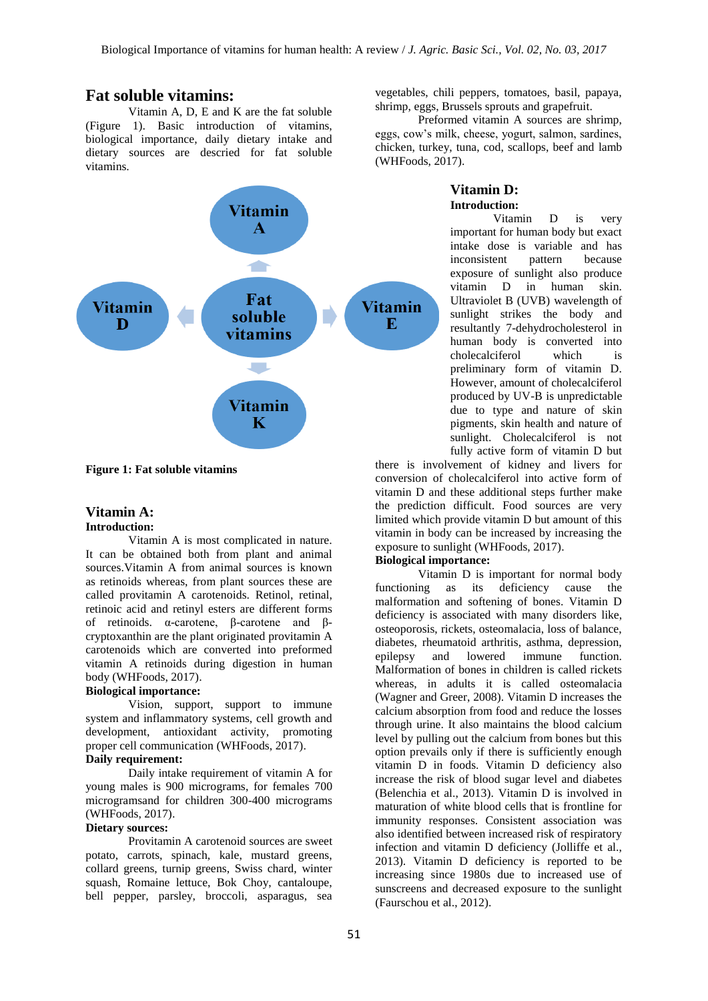# **Fat soluble vitamins:**

Vitamin A, D, E and K are the fat soluble (Figure 1). Basic introduction of vitamins, biological importance, daily dietary intake and dietary sources are descried for fat soluble vitamins.



**Figure 1: Fat soluble vitamins**

#### **Vitamin A: Introduction:**

Vitamin A is most complicated in nature. It can be obtained both from plant and animal sources.Vitamin A from animal sources is known as retinoids whereas, from plant sources these are called provitamin A carotenoids. Retinol, retinal, retinoic acid and retinyl esters are different forms of retinoids. α-carotene, β-carotene and βcryptoxanthin are the plant originated provitamin A carotenoids which are converted into preformed vitamin A retinoids during digestion in human body (WHFoods, 2017).

## **Biological importance:**

Vision, support, support to immune system and inflammatory systems, cell growth and development, antioxidant activity, promoting proper cell communication (WHFoods, 2017).

# **Daily requirement:**

Daily intake requirement of vitamin A for young males is 900 micrograms, for females 700 microgramsand for children 300-400 micrograms (WHFoods, 2017).

#### **Dietary sources:**

Provitamin A carotenoid sources are sweet potato, carrots, spinach, kale, mustard greens, collard greens, turnip greens, Swiss chard, winter squash, Romaine lettuce, Bok Choy, cantaloupe, bell pepper, parsley, broccoli, asparagus, sea

vegetables, chili peppers, tomatoes, basil, papaya, shrimp, eggs, Brussels sprouts and grapefruit.

Preformed vitamin A sources are shrimp, eggs, cow's milk, cheese, yogurt, salmon, sardines, chicken, turkey, tuna, cod, scallops, beef and lamb (WHFoods, 2017).

## **Vitamin D: Introduction:**

Vitamin D is very important for human body but exact intake dose is variable and has inconsistent pattern because exposure of sunlight also produce vitamin D in human skin. Ultraviolet B (UVB) wavelength of sunlight strikes the body and resultantly 7-dehydrocholesterol in human body is converted into cholecalciferol which is preliminary form of vitamin D. However, amount of cholecalciferol produced by UV-B is unpredictable due to type and nature of skin pigments, skin health and nature of sunlight. Cholecalciferol is not fully active form of vitamin D but

there is involvement of kidney and livers for conversion of cholecalciferol into active form of vitamin D and these additional steps further make the prediction difficult. Food sources are very limited which provide vitamin D but amount of this vitamin in body can be increased by increasing the exposure to sunlight (WHFoods, 2017).

### **Biological importance:**

Vitamin D is important for normal body functioning as its deficiency cause the malformation and softening of bones. Vitamin D deficiency is associated with many disorders like, osteoporosis, rickets, osteomalacia, loss of balance, diabetes, rheumatoid arthritis, asthma, depression, epilepsy and lowered immune function. Malformation of bones in children is called rickets whereas, in adults it is called osteomalacia (Wagner and Greer, 2008). Vitamin D increases the calcium absorption from food and reduce the losses through urine. It also maintains the blood calcium level by pulling out the calcium from bones but this option prevails only if there is sufficiently enough vitamin D in foods. Vitamin D deficiency also increase the risk of blood sugar level and diabetes (Belenchia et al., 2013). Vitamin D is involved in maturation of white blood cells that is frontline for immunity responses. Consistent association was also identified between increased risk of respiratory infection and vitamin D deficiency (Jolliffe et al., 2013). Vitamin D deficiency is reported to be increasing since 1980s due to increased use of sunscreens and decreased exposure to the sunlight (Faurschou et al., 2012).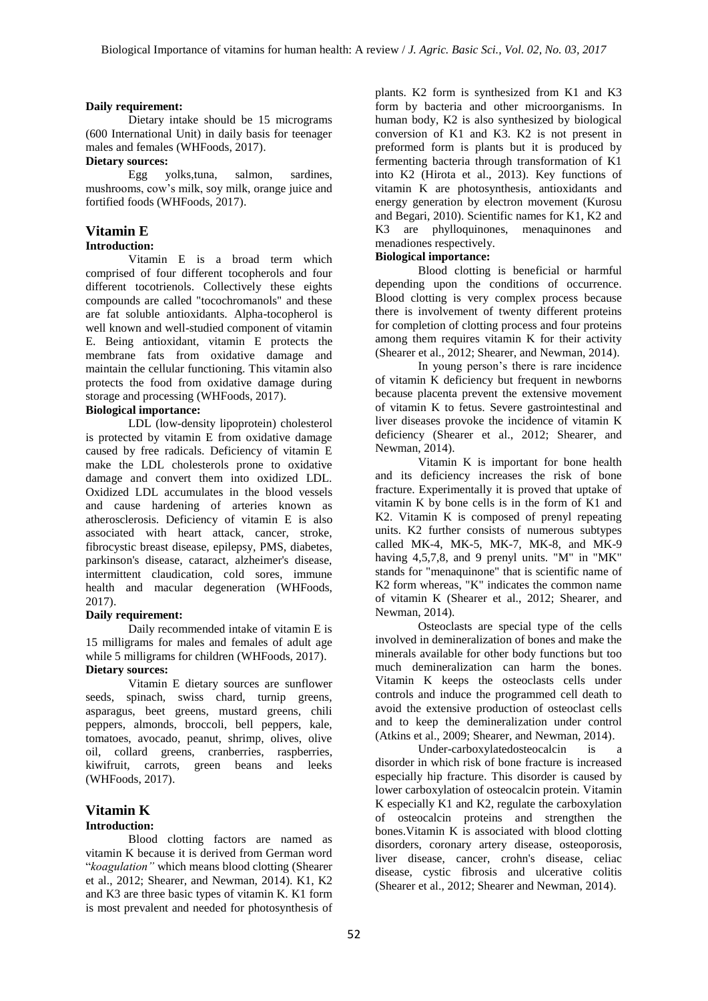### **Daily requirement:**

Dietary intake should be 15 micrograms (600 International Unit) in daily basis for teenager males and females (WHFoods, 2017).

### **Dietary sources:**

Egg yolks,tuna, salmon, sardines, mushrooms, cow's milk, soy milk, orange juice and fortified foods (WHFoods, 2017).

# **Vitamin E**

## **Introduction:**

Vitamin E is a broad term which comprised of four different tocopherols and four different tocotrienols. Collectively these eights compounds are called "tocochromanols" and these are fat soluble antioxidants. Alpha-tocopherol is well known and well-studied component of vitamin E. Being antioxidant, vitamin E protects the membrane fats from oxidative damage and maintain the cellular functioning. This vitamin also protects the food from oxidative damage during storage and processing (WHFoods, 2017).

# **Biological importance:**

LDL (low-density lipoprotein) cholesterol is protected by vitamin E from oxidative damage caused by free radicals. Deficiency of vitamin E make the LDL cholesterols prone to oxidative damage and convert them into oxidized LDL. Oxidized LDL accumulates in the blood vessels and cause hardening of arteries known as atherosclerosis. Deficiency of vitamin E is also associated with heart attack, cancer, stroke, fibrocystic breast disease, epilepsy, PMS, diabetes, parkinson's disease, cataract, alzheimer's disease, intermittent claudication, cold sores, immune health and macular degeneration (WHFoods, 2017).

#### **Daily requirement:**

Daily recommended intake of vitamin E is 15 milligrams for males and females of adult age while 5 milligrams for children (WHFoods, 2017). **Dietary sources:** 

Vitamin E dietary sources are sunflower seeds, spinach, swiss chard, turnip greens, asparagus, beet greens, mustard greens, chili peppers, almonds, broccoli, bell peppers, kale, tomatoes, avocado, peanut, shrimp, olives, olive oil, collard greens, cranberries, raspberries, kiwifruit, carrots, green beans and leeks (WHFoods, 2017).

#### **Vitamin K Introduction:**

Blood clotting factors are named as vitamin K because it is derived from German word "*koagulation"* which means blood clotting (Shearer et al., 2012; Shearer, and Newman, 2014). K1, K2 and K3 are three basic types of vitamin K. K1 form is most prevalent and needed for photosynthesis of

plants. K2 form is synthesized from K1 and K3 form by bacteria and other microorganisms. In human body, K2 is also synthesized by biological conversion of K1 and K3. K2 is not present in preformed form is plants but it is produced by fermenting bacteria through transformation of K1 into K2 (Hirota et al., 2013). Key functions of vitamin K are photosynthesis, antioxidants and energy generation by electron movement (Kurosu and Begari, 2010). Scientific names for K1, K2 and K3 are phylloquinones, menaquinones and menadiones respectively.

## **Biological importance:**

Blood clotting is beneficial or harmful depending upon the conditions of occurrence. Blood clotting is very complex process because there is involvement of twenty different proteins for completion of clotting process and four proteins among them requires vitamin K for their activity (Shearer et al., 2012; Shearer, and Newman, 2014).

In young person's there is rare incidence of vitamin K deficiency but frequent in newborns because placenta prevent the extensive movement of vitamin K to fetus. Severe gastrointestinal and liver diseases provoke the incidence of vitamin K deficiency (Shearer et al., 2012; Shearer, and Newman, 2014).

Vitamin K is important for bone health and its deficiency increases the risk of bone fracture. Experimentally it is proved that uptake of vitamin K by bone cells is in the form of K1 and K2. Vitamin K is composed of prenyl repeating units. K2 further consists of numerous subtypes called MK-4, MK-5, MK-7, MK-8, and MK-9 having 4,5,7,8, and 9 prenyl units. "M" in "MK" stands for "menaquinone" that is scientific name of K2 form whereas, "K" indicates the common name of vitamin K (Shearer et al., 2012; Shearer, and Newman, 2014).

Osteoclasts are special type of the cells involved in demineralization of bones and make the minerals available for other body functions but too much demineralization can harm the bones. Vitamin K keeps the osteoclasts cells under controls and induce the programmed cell death to avoid the extensive production of osteoclast cells and to keep the demineralization under control (Atkins et al., 2009; Shearer, and Newman, 2014).

Under-carboxylatedosteocalcin is a disorder in which risk of bone fracture is increased especially hip fracture. This disorder is caused by lower carboxylation of osteocalcin protein. Vitamin K especially K1 and K2, regulate the carboxylation of osteocalcin proteins and strengthen the bones.Vitamin K is associated with blood clotting disorders, coronary artery disease, osteoporosis, liver disease, cancer, crohn's disease, celiac disease, cystic fibrosis and ulcerative colitis (Shearer et al., 2012; Shearer and Newman, 2014).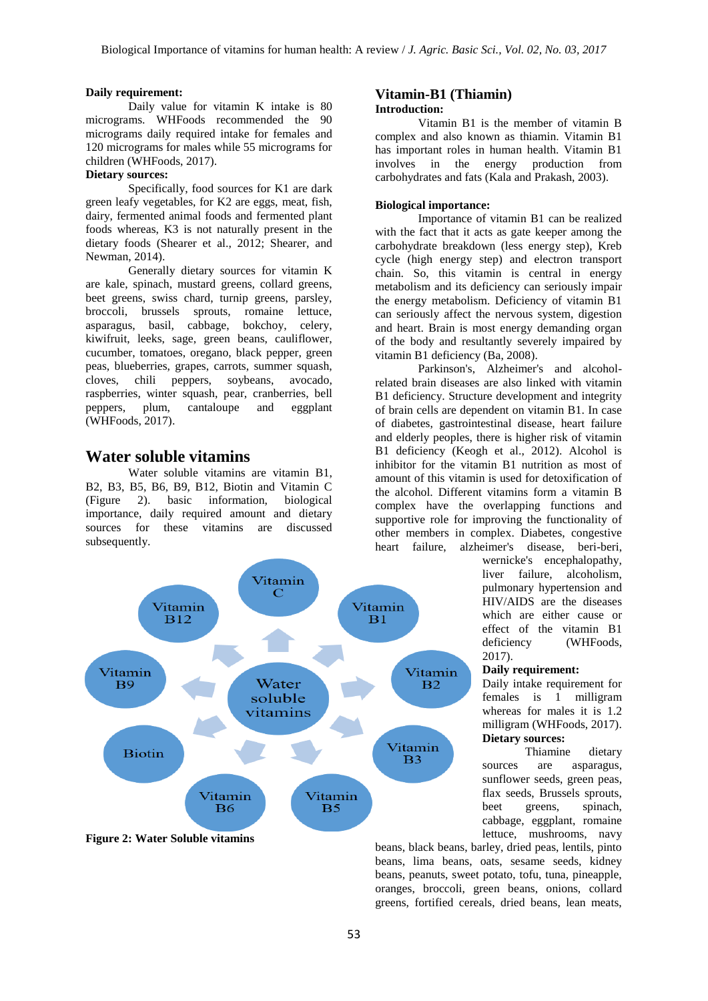#### **Daily requirement:**

Daily value for vitamin K intake is 80 micrograms. WHFoods recommended the 90 micrograms daily required intake for females and 120 micrograms for males while 55 micrograms for children (WHFoods, 2017).

# **Dietary sources:**

Specifically, food sources for K1 are dark green leafy vegetables, for K2 are eggs, meat, fish, dairy, fermented animal foods and fermented plant foods whereas, K3 is not naturally present in the dietary foods (Shearer et al., 2012; Shearer, and Newman, 2014).

Generally dietary sources for vitamin K are kale, spinach, mustard greens, collard greens, beet greens, swiss chard, turnip greens, parsley, broccoli, brussels sprouts, romaine lettuce, asparagus, basil, cabbage, bokchoy, celery, kiwifruit, leeks, sage, green beans, cauliflower, cucumber, tomatoes, oregano, black pepper, green peas, blueberries, grapes, carrots, summer squash, cloves, chili peppers, soybeans, avocado, raspberries, winter squash, pear, cranberries, bell peppers, plum, cantaloupe and eggplant (WHFoods, 2017).

# **Water soluble vitamins**

Water soluble vitamins are vitamin B1, B2, B3, B5, B6, B9, B12, Biotin and Vitamin C (Figure 2). basic information, biological importance, daily required amount and dietary sources for these vitamins are discussed subsequently.



#### **Figure 2: Water Soluble vitamins**

#### **Vitamin-B1 (Thiamin) Introduction:**

Vitamin B1 is the member of vitamin B complex and also known as thiamin. Vitamin B1 has important roles in human health. Vitamin B1 involves in the energy production from carbohydrates and fats (Kala and Prakash, 2003).

#### **Biological importance:**

Importance of vitamin B1 can be realized with the fact that it acts as gate keeper among the carbohydrate breakdown (less energy step), Kreb cycle (high energy step) and electron transport chain. So, this vitamin is central in energy metabolism and its deficiency can seriously impair the energy metabolism. Deficiency of vitamin B1 can seriously affect the nervous system, digestion and heart. Brain is most energy demanding organ of the body and resultantly severely impaired by vitamin B1 deficiency (Ba, 2008).

Parkinson's, Alzheimer's and alcoholrelated brain diseases are also linked with vitamin B1 deficiency. Structure development and integrity of brain cells are dependent on vitamin B1. In case of diabetes, gastrointestinal disease, heart failure and elderly peoples, there is higher risk of vitamin B1 deficiency (Keogh et al., 2012). Alcohol is inhibitor for the vitamin B1 nutrition as most of amount of this vitamin is used for detoxification of the alcohol. Different vitamins form a vitamin B complex have the overlapping functions and supportive role for improving the functionality of other members in complex. Diabetes, congestive heart failure, alzheimer's disease, beri-beri,

> wernicke's encephalopathy, liver failure, alcoholism, pulmonary hypertension and HIV/AIDS are the diseases which are either cause or effect of the vitamin B1 deficiency (WHFoods, 2017).

#### **Daily requirement:**

Daily intake requirement for females is 1 milligram whereas for males it is 1.2 milligram (WHFoods, 2017). **Dietary sources:**

Thiamine dietary sources are asparagus, sunflower seeds, green peas, flax seeds, Brussels sprouts, beet greens, spinach, cabbage, eggplant, romaine lettuce, mushrooms, navy

beans, black beans, barley, dried peas, lentils, pinto beans, lima beans, oats, sesame seeds, kidney beans, peanuts, sweet potato, tofu, tuna, pineapple, oranges, broccoli, green beans, onions, collard greens, fortified cereals, dried beans, lean meats,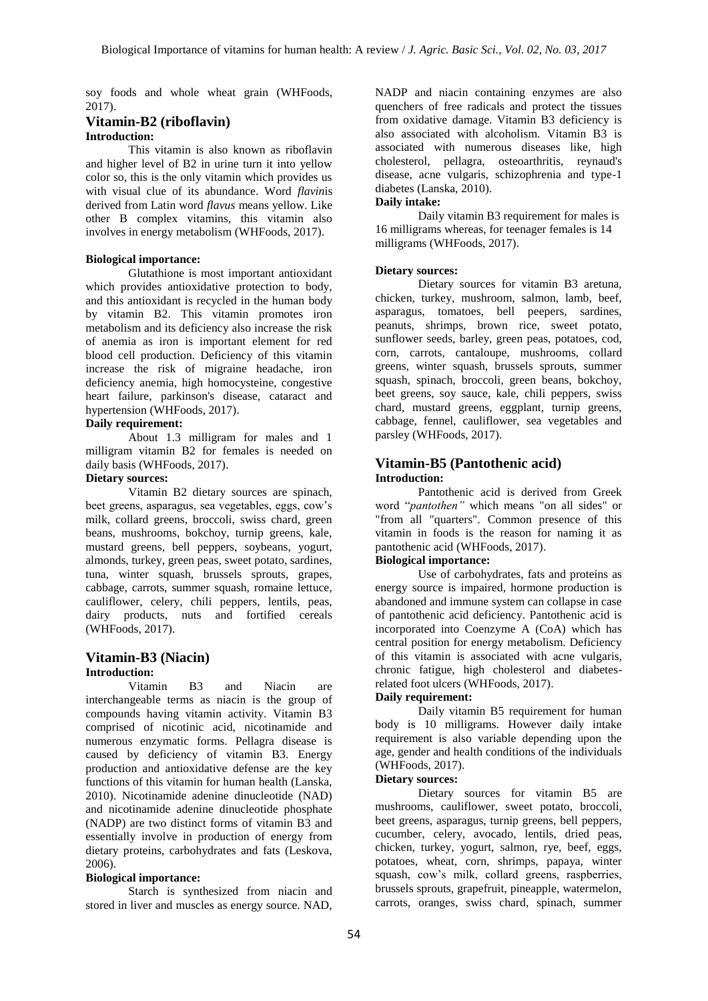soy foods and whole wheat grain (WHFoods, 2017).

## **Vitamin-B2 (riboflavin) Introduction:**

This vitamin is also known as riboflavin and higher level of B2 in urine turn it into yellow color so, this is the only vitamin which provides us with visual clue of its abundance. Word *flavin*is derived from Latin word *flavus* means yellow. Like other B complex vitamins, this vitamin also involves in energy metabolism (WHFoods, 2017).

## **Biological importance:**

Glutathione is most important antioxidant which provides antioxidative protection to body, and this antioxidant is recycled in the human body by vitamin B2. This vitamin promotes iron metabolism and its deficiency also increase the risk of anemia as iron is important element for red blood cell production. Deficiency of this vitamin increase the risk of migraine headache, iron deficiency anemia, high homocysteine, congestive heart failure, parkinson's disease, cataract and hypertension (WHFoods, 2017).

#### **Daily requirement:**

About 1.3 milligram for males and 1 milligram vitamin B2 for females is needed on daily basis (WHFoods, 2017).

# **Dietary sources:**

Vitamin B2 dietary sources are spinach, beet greens, asparagus, sea vegetables, eggs, cow's milk, collard greens, broccoli, swiss chard, green beans, mushrooms, bokchoy, turnip greens, kale, mustard greens, bell peppers, soybeans, yogurt, almonds, turkey, green peas, sweet potato, sardines, tuna, winter squash, brussels sprouts, grapes, cabbage, carrots, summer squash, romaine lettuce, cauliflower, celery, chili peppers, lentils, peas, dairy products, nuts and fortified cereals (WHFoods, 2017).

## **Vitamin-B3 (Niacin) Introduction:**

Vitamin B3 and Niacin are interchangeable terms as niacin is the group of compounds having vitamin activity. Vitamin B3 comprised of nicotinic acid, nicotinamide and numerous enzymatic forms. Pellagra disease is caused by deficiency of vitamin B3. Energy production and antioxidative defense are the key functions of this vitamin for human health (Lanska, 2010). Nicotinamide adenine dinucleotide (NAD) and nicotinamide adenine dinucleotide phosphate (NADP) are two distinct forms of vitamin B3 and essentially involve in production of energy from dietary proteins, carbohydrates and fats (Leskova, 2006).

#### **Biological importance:**

Starch is synthesized from niacin and stored in liver and muscles as energy source. NAD,

NADP and niacin containing enzymes are also quenchers of free radicals and protect the tissues from oxidative damage. Vitamin B3 deficiency is also associated with alcoholism. Vitamin B3 is associated with numerous diseases like, high cholesterol, pellagra, osteoarthritis, reynaud's disease, acne vulgaris, schizophrenia and type-1 diabetes (Lanska, 2010).

# **Daily intake:**

Daily vitamin B3 requirement for males is 16 milligrams whereas, for teenager females is 14 milligrams (WHFoods, 2017).

#### **Dietary sources:**

Dietary sources for vitamin B3 aretuna, chicken, turkey, mushroom, salmon, lamb, beef, asparagus, tomatoes, bell peepers, sardines, peanuts, shrimps, brown rice, sweet potato, sunflower seeds, barley, green peas, potatoes, cod, corn, carrots, cantaloupe, mushrooms, collard greens, winter squash, brussels sprouts, summer squash, spinach, broccoli, green beans, bokchoy, beet greens, soy sauce, kale, chili peppers, swiss chard, mustard greens, eggplant, turnip greens, cabbage, fennel, cauliflower, sea vegetables and parsley (WHFoods, 2017).

# **Vitamin-B5 (Pantothenic acid)**

#### **Introduction:**

Pantothenic acid is derived from Greek word "*pantothen"* which means "on all sides" or "from all "quarters". Common presence of this vitamin in foods is the reason for naming it as pantothenic acid (WHFoods, 2017).

# **Biological importance:**

Use of carbohydrates, fats and proteins as energy source is impaired, hormone production is abandoned and immune system can collapse in case of pantothenic acid deficiency. Pantothenic acid is incorporated into Coenzyme A (CoA) which has central position for energy metabolism. Deficiency of this vitamin is associated with acne vulgaris, chronic fatigue, high cholesterol and diabetesrelated foot ulcers (WHFoods, 2017).

#### **Daily requirement:**

Daily vitamin B5 requirement for human body is 10 milligrams. However daily intake requirement is also variable depending upon the age, gender and health conditions of the individuals (WHFoods, 2017).

#### **Dietary sources:**

Dietary sources for vitamin B5 are mushrooms, cauliflower, sweet potato, broccoli, beet greens, asparagus, turnip greens, bell peppers, cucumber, celery, avocado, lentils, dried peas, chicken, turkey, yogurt, salmon, rye, beef, eggs, potatoes, wheat, corn, shrimps, papaya, winter squash, cow's milk, collard greens, raspberries, brussels sprouts, grapefruit, pineapple, watermelon, carrots, oranges, swiss chard, spinach, summer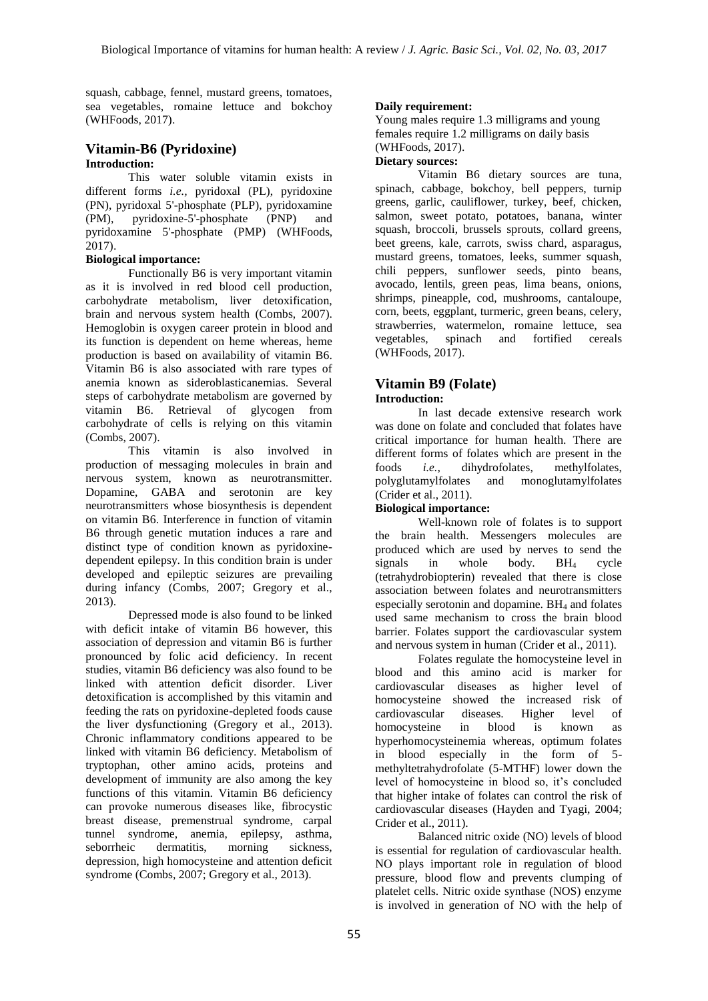squash, cabbage, fennel, mustard greens, tomatoes, sea vegetables, romaine lettuce and bokchoy (WHFoods, 2017).

### **Vitamin-B6 (Pyridoxine) Introduction:**

This water soluble vitamin exists in different forms *i.e.,* pyridoxal (PL), pyridoxine (PN), pyridoxal 5'-phosphate (PLP), pyridoxamine (PM), pyridoxine-5'-phosphate (PNP) and pyridoxamine 5'-phosphate (PMP) (WHFoods, 2017).

## **Biological importance:**

Functionally B6 is very important vitamin as it is involved in red blood cell production, carbohydrate metabolism, liver detoxification, brain and nervous system health (Combs, 2007). Hemoglobin is oxygen career protein in blood and its function is dependent on heme whereas, heme production is based on availability of vitamin B6. Vitamin B6 is also associated with rare types of anemia known as sideroblasticanemias. Several steps of carbohydrate metabolism are governed by vitamin B6. Retrieval of glycogen from carbohydrate of cells is relying on this vitamin (Combs, 2007).

This vitamin is also involved in production of messaging molecules in brain and nervous system, known as neurotransmitter. Dopamine, GABA and serotonin are key neurotransmitters whose biosynthesis is dependent on vitamin B6. Interference in function of vitamin B6 through genetic mutation induces a rare and distinct type of condition known as pyridoxinedependent epilepsy. In this condition brain is under developed and epileptic seizures are prevailing during infancy (Combs, 2007; Gregory et al., 2013).

Depressed mode is also found to be linked with deficit intake of vitamin B6 however, this association of depression and vitamin B6 is further pronounced by folic acid deficiency. In recent studies, vitamin B6 deficiency was also found to be linked with attention deficit disorder. Liver detoxification is accomplished by this vitamin and feeding the rats on pyridoxine-depleted foods cause the liver dysfunctioning (Gregory et al., 2013). Chronic inflammatory conditions appeared to be linked with vitamin B6 deficiency. Metabolism of tryptophan, other amino acids, proteins and development of immunity are also among the key functions of this vitamin. Vitamin B6 deficiency can provoke numerous diseases like, fibrocystic breast disease, premenstrual syndrome, carpal tunnel syndrome, anemia, epilepsy, asthma, seborrheic dermatitis, morning sickness, depression, high homocysteine and attention deficit syndrome (Combs, 2007; Gregory et al., 2013).

# **Daily requirement:**

Young males require 1.3 milligrams and young females require 1.2 milligrams on daily basis (WHFoods, 2017).

## **Dietary sources:**

Vitamin B6 dietary sources are tuna, spinach, cabbage, bokchoy, bell peppers, turnip greens, garlic, cauliflower, turkey, beef, chicken, salmon, sweet potato, potatoes, banana, winter squash, broccoli, brussels sprouts, collard greens, beet greens, kale, carrots, swiss chard, asparagus, mustard greens, tomatoes, leeks, summer squash, chili peppers, sunflower seeds, pinto beans, avocado, lentils, green peas, lima beans, onions, shrimps, pineapple, cod, mushrooms, cantaloupe, corn, beets, eggplant, turmeric, green beans, celery, strawberries, watermelon, romaine lettuce, sea vegetables, spinach and fortified cereals (WHFoods, 2017).

### **Vitamin B9 (Folate) Introduction:**

In last decade extensive research work was done on folate and concluded that folates have critical importance for human health. There are different forms of folates which are present in the foods *i.e.,* dihydrofolates, methylfolates, polyglutamylfolates and monoglutamylfolates (Crider et al., 2011).

# **Biological importance:**

Well-known role of folates is to support the brain health. Messengers molecules are produced which are used by nerves to send the signals in whole body.  $BH<sub>4</sub>$  cycle (tetrahydrobiopterin) revealed that there is close association between folates and neurotransmitters especially serotonin and dopamine. BH<sup>4</sup> and folates used same mechanism to cross the brain blood barrier. Folates support the cardiovascular system and nervous system in human (Crider et al., 2011).

Folates regulate the homocysteine level in blood and this amino acid is marker for cardiovascular diseases as higher level of homocysteine showed the increased risk of cardiovascular diseases. Higher level of homocysteine in blood is known as hyperhomocysteinemia whereas, optimum folates in blood especially in the form of 5 methyltetrahydrofolate (5-MTHF) lower down the level of homocysteine in blood so, it's concluded that higher intake of folates can control the risk of cardiovascular diseases (Hayden and Tyagi, 2004; Crider et al., 2011).

Balanced nitric oxide (NO) levels of blood is essential for regulation of cardiovascular health. NO plays important role in regulation of blood pressure, blood flow and prevents clumping of platelet cells. Nitric oxide synthase (NOS) enzyme is involved in generation of NO with the help of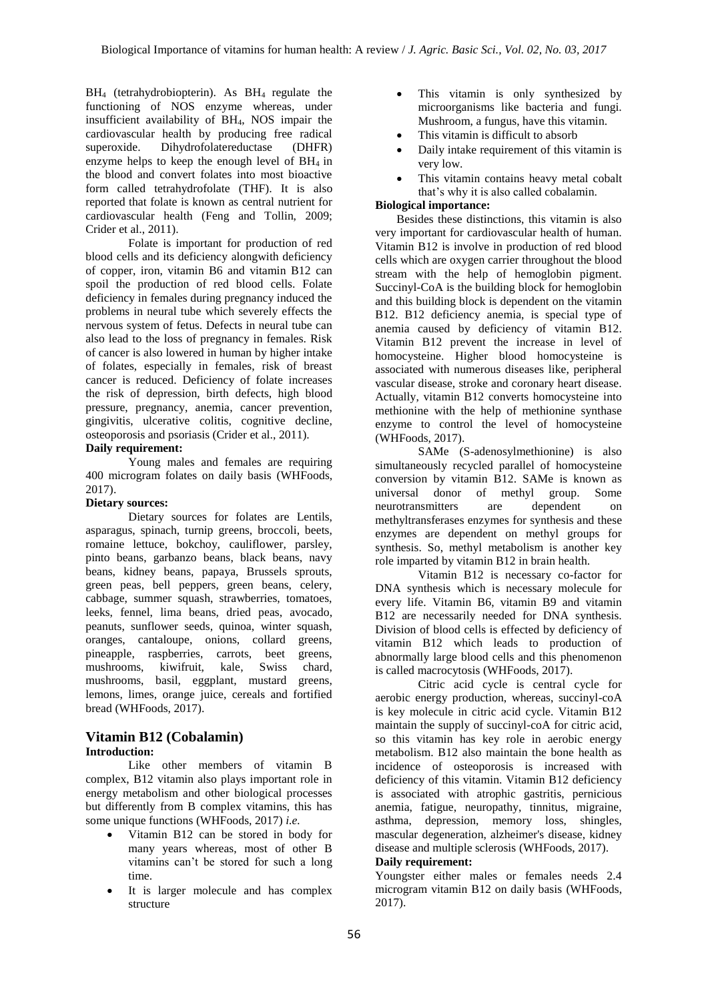$BH<sub>4</sub>$  (tetrahydrobiopterin). As  $BH<sub>4</sub>$  regulate the functioning of NOS enzyme whereas, under insufficient availability of BH4, NOS impair the cardiovascular health by producing free radical superoxide. Dihydrofolatereductase (DHFR) enzyme helps to keep the enough level of  $BH<sub>4</sub>$  in the blood and convert folates into most bioactive form called tetrahydrofolate (THF). It is also reported that folate is known as central nutrient for cardiovascular health (Feng and Tollin, 2009; Crider et al., 2011).

Folate is important for production of red blood cells and its deficiency alongwith deficiency of copper, iron, vitamin B6 and vitamin B12 can spoil the production of red blood cells. Folate deficiency in females during pregnancy induced the problems in neural tube which severely effects the nervous system of fetus. Defects in neural tube can also lead to the loss of pregnancy in females. Risk of cancer is also lowered in human by higher intake of folates, especially in females, risk of breast cancer is reduced. Deficiency of folate increases the risk of depression, birth defects, high blood pressure, pregnancy, anemia, cancer prevention, gingivitis, ulcerative colitis, cognitive decline, osteoporosis and psoriasis (Crider et al., 2011).

#### **Daily requirement:**

Young males and females are requiring 400 microgram folates on daily basis (WHFoods, 2017).

## **Dietary sources:**

Dietary sources for folates are Lentils, asparagus, spinach, turnip greens, broccoli, beets, romaine lettuce, bokchoy, cauliflower, parsley, pinto beans, garbanzo beans, black beans, navy beans, kidney beans, papaya, Brussels sprouts, green peas, bell peppers, green beans, celery, cabbage, summer squash, strawberries, tomatoes, leeks, fennel, lima beans, dried peas, avocado, peanuts, sunflower seeds, quinoa, winter squash, oranges, cantaloupe, onions, collard greens, pineapple, raspberries, carrots, beet greens, mushrooms, kiwifruit, kale, Swiss chard, mushrooms, basil, eggplant, mustard greens, lemons, limes, orange juice, cereals and fortified bread (WHFoods, 2017).

#### **Vitamin B12 (Cobalamin) Introduction:**

Like other members of vitamin B complex, B12 vitamin also plays important role in energy metabolism and other biological processes but differently from B complex vitamins, this has some unique functions (WHFoods, 2017) *i.e.* 

- Vitamin B12 can be stored in body for many years whereas, most of other B vitamins can't be stored for such a long time.
- It is larger molecule and has complex structure
- This vitamin is only synthesized by microorganisms like bacteria and fungi. Mushroom, a fungus, have this vitamin.
- This vitamin is difficult to absorb
- Daily intake requirement of this vitamin is very low.
- This vitamin contains heavy metal cobalt that's why it is also called cobalamin.

# **Biological importance:**

Besides these distinctions, this vitamin is also very important for cardiovascular health of human. Vitamin B12 is involve in production of red blood cells which are oxygen carrier throughout the blood stream with the help of hemoglobin pigment. Succinyl-CoA is the building block for hemoglobin and this building block is dependent on the vitamin B12. B12 deficiency anemia, is special type of anemia caused by deficiency of vitamin B12. Vitamin B12 prevent the increase in level of homocysteine. Higher blood homocysteine is associated with numerous diseases like, peripheral vascular disease, stroke and coronary heart disease. Actually, vitamin B12 converts homocysteine into methionine with the help of methionine synthase enzyme to control the level of homocysteine (WHFoods, 2017).

SAMe (S-adenosylmethionine) is also simultaneously recycled parallel of homocysteine conversion by vitamin B12. SAMe is known as universal donor of methyl group. Some neurotransmitters are dependent on methyltransferases enzymes for synthesis and these enzymes are dependent on methyl groups for synthesis. So, methyl metabolism is another key role imparted by vitamin B12 in brain health.

Vitamin B12 is necessary co-factor for DNA synthesis which is necessary molecule for every life. Vitamin B6, vitamin B9 and vitamin B12 are necessarily needed for DNA synthesis. Division of blood cells is effected by deficiency of vitamin B12 which leads to production of abnormally large blood cells and this phenomenon is called macrocytosis (WHFoods, 2017).

Citric acid cycle is central cycle for aerobic energy production, whereas, succinyl-coA is key molecule in citric acid cycle. Vitamin B12 maintain the supply of succinyl-coA for citric acid, so this vitamin has key role in aerobic energy metabolism. B12 also maintain the bone health as incidence of osteoporosis is increased with deficiency of this vitamin. Vitamin B12 deficiency is associated with atrophic gastritis, pernicious anemia, fatigue, neuropathy, tinnitus, migraine, asthma, depression, memory loss, shingles, mascular degeneration, alzheimer's disease, kidney disease and multiple sclerosis (WHFoods, 2017).

#### **Daily requirement:**

Youngster either males or females needs 2.4 microgram vitamin B12 on daily basis (WHFoods, 2017).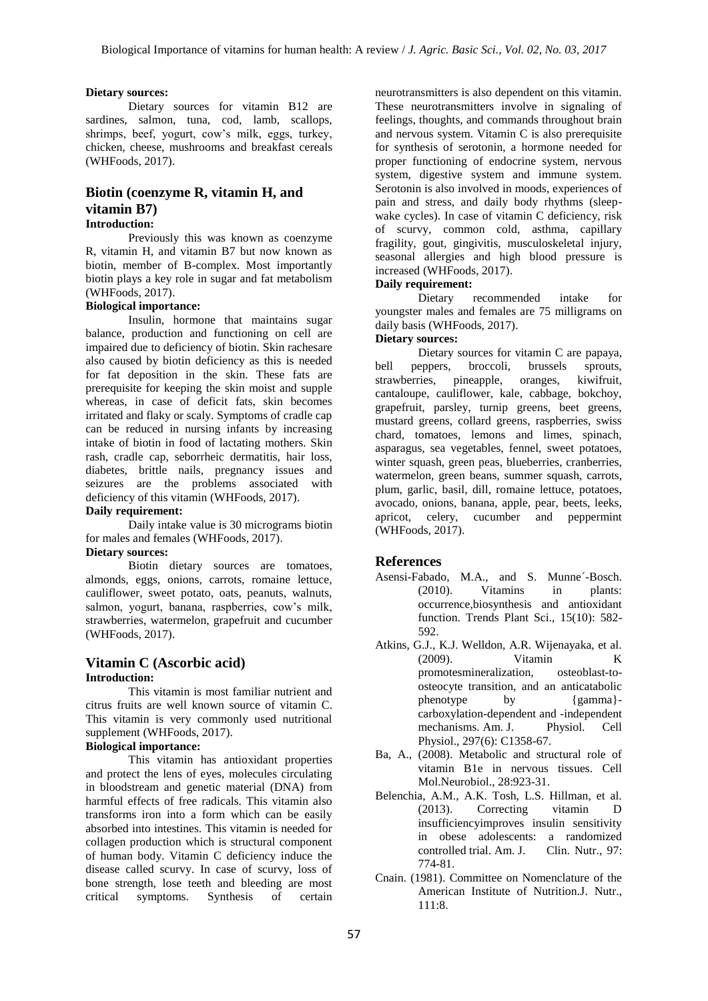#### **Dietary sources:**

Dietary sources for vitamin B12 are sardines, salmon, tuna, cod, lamb, scallops, shrimps, beef, yogurt, cow's milk, eggs, turkey, chicken, cheese, mushrooms and breakfast cereals (WHFoods, 2017).

# **Biotin (coenzyme R, vitamin H, and vitamin B7)**

## **Introduction:**

Previously this was known as coenzyme R, vitamin H, and vitamin B7 but now known as biotin, member of B-complex. Most importantly biotin plays a key role in sugar and fat metabolism (WHFoods, 2017).

# **Biological importance:**

Insulin, hormone that maintains sugar balance, production and functioning on cell are impaired due to deficiency of biotin. Skin rachesare also caused by biotin deficiency as this is needed for fat deposition in the skin. These fats are prerequisite for keeping the skin moist and supple whereas, in case of deficit fats, skin becomes irritated and flaky or scaly. Symptoms of cradle cap can be reduced in nursing infants by increasing intake of biotin in food of lactating mothers. Skin rash, cradle cap, seborrheic dermatitis, hair loss, diabetes, brittle nails, pregnancy issues and seizures are the problems associated with deficiency of this vitamin (WHFoods, 2017).

#### **Daily requirement:**

Daily intake value is 30 micrograms biotin for males and females (WHFoods, 2017).

# **Dietary sources:**

Biotin dietary sources are tomatoes, almonds, eggs, onions, carrots, romaine lettuce, cauliflower, sweet potato, oats, peanuts, walnuts, salmon, yogurt, banana, raspberries, cow's milk, strawberries, watermelon, grapefruit and cucumber (WHFoods, 2017).

## **Vitamin C (Ascorbic acid) Introduction:**

This vitamin is most familiar nutrient and citrus fruits are well known source of vitamin C. This vitamin is very commonly used nutritional supplement (WHFoods, 2017).

#### **Biological importance:**

This vitamin has antioxidant properties and protect the lens of eyes, molecules circulating in bloodstream and genetic material (DNA) from harmful effects of free radicals. This vitamin also transforms iron into a form which can be easily absorbed into intestines. This vitamin is needed for collagen production which is structural component of human body. Vitamin C deficiency induce the disease called scurvy. In case of scurvy, loss of bone strength, lose teeth and bleeding are most critical symptoms. Synthesis of certain

neurotransmitters is also dependent on this vitamin. These neurotransmitters involve in signaling of feelings, thoughts, and commands throughout brain and nervous system. Vitamin C is also prerequisite for synthesis of serotonin, a hormone needed for proper functioning of endocrine system, nervous system, digestive system and immune system. Serotonin is also involved in moods, experiences of pain and stress, and daily body rhythms (sleepwake cycles). In case of vitamin C deficiency, risk of scurvy, common cold, asthma, capillary fragility, gout, gingivitis, musculoskeletal injury, seasonal allergies and high blood pressure is increased (WHFoods, 2017).

## **Daily requirement:**

Dietary recommended intake for youngster males and females are 75 milligrams on daily basis (WHFoods, 2017).

#### **Dietary sources:**

Dietary sources for vitamin C are papaya, bell peppers, broccoli, brussels sprouts, strawberries, pineapple, oranges, kiwifruit, cantaloupe, cauliflower, kale, cabbage, bokchoy, grapefruit, parsley, turnip greens, beet greens, mustard greens, collard greens, raspberries, swiss chard, tomatoes, lemons and limes, spinach, asparagus, sea vegetables, fennel, sweet potatoes, winter squash, green peas, blueberries, cranberries, watermelon, green beans, summer squash, carrots, plum, garlic, basil, dill, romaine lettuce, potatoes, avocado, onions, banana, apple, pear, beets, leeks, apricot, celery, cucumber and peppermint (WHFoods, 2017).

#### **References**

- Asensi-Fabado, M.A., and S. Munne´-Bosch. (2010). Vitamins in plants: occurrence,biosynthesis and antioxidant function. Trends Plant Sci., 15(10): 582- 592.
- Atkins, G.J., K.J. Welldon, A.R. Wijenayaka, et al. (2009). Vitamin K promotesmineralization, osteoblast-toosteocyte transition, and an anticatabolic phenotype by {gamma} carboxylation-dependent and -independent mechanisms. Am. J. Physiol. Cell Physiol., 297(6): C1358-67.
- Ba, A., (2008). Metabolic and structural role of vitamin B1e in nervous tissues. Cell Mol.Neurobiol., 28:923-31.
- Belenchia, A.M., A.K. Tosh, L.S. Hillman, et al. (2013). Correcting vitamin D insufficiencyimproves insulin sensitivity in obese adolescents: a randomized controlled trial. Am. J. Clin. Nutr., 97: 774-81.
- Cnain. (1981). Committee on Nomenclature of the American Institute of Nutrition.J. Nutr., 111:8.